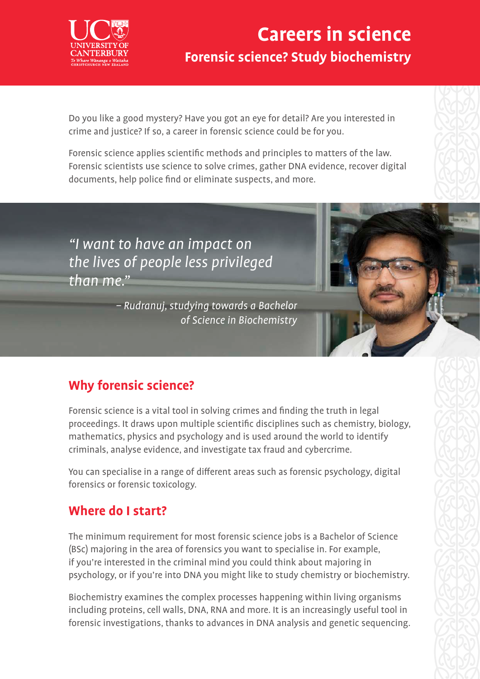

## **Careers in science Forensic science? Study biochemistry**

Do you like a good mystery? Have you got an eye for detail? Are you interested in crime and justice? If so, a career in forensic science could be for you.

Forensic science applies scientific methods and principles to matters of the law. Forensic scientists use science to solve crimes, gather DNA evidence, recover digital documents, help police find or eliminate suspects, and more.

"I want to have an impact on the lives of people less privileged than me."

> – Rudranuj, studying towards a Bachelor of Science in Biochemistry

### **Why forensic science?**

Forensic science is a vital tool in solving crimes and finding the truth in legal proceedings. It draws upon multiple scientific disciplines such as chemistry, biology, mathematics, physics and psychology and is used around the world to identify criminals, analyse evidence, and investigate tax fraud and cybercrime.

You can specialise in a range of different areas such as forensic psychology, digital forensics or forensic toxicology.

#### **Where do I start?**

The minimum requirement for most forensic science jobs is a Bachelor of Science (BSc) majoring in the area of forensics you want to specialise in. For example, if you're interested in the criminal mind you could think about majoring in psychology, or if you're into DNA you might like to study chemistry or biochemistry.

Biochemistry examines the complex processes happening within living organisms including proteins, cell walls, DNA, RNA and more. It is an increasingly useful tool in forensic investigations, thanks to advances in DNA analysis and genetic sequencing.